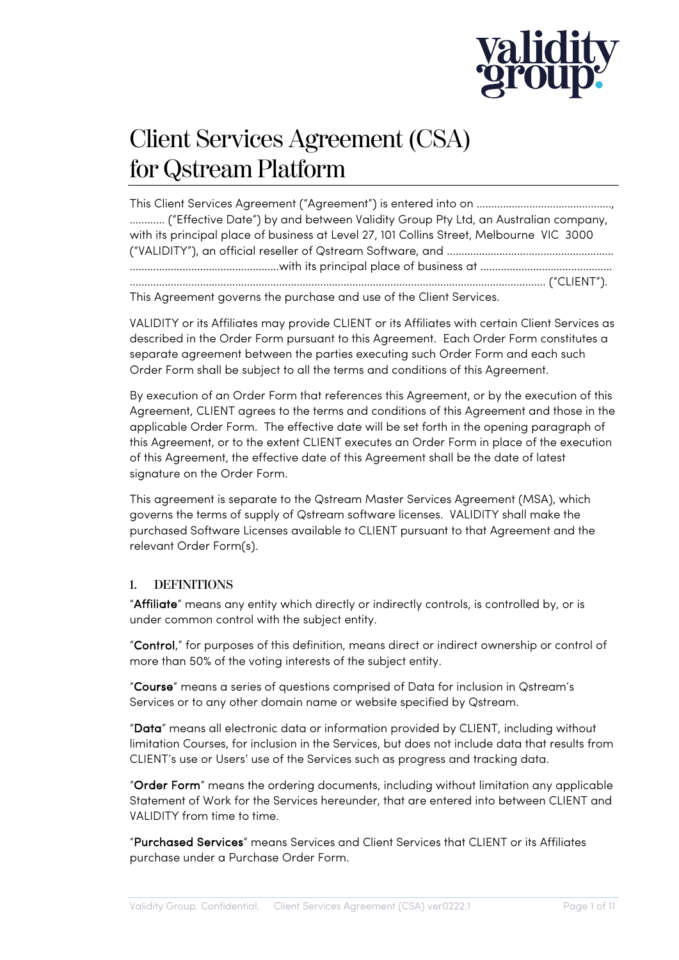

# Client Services Agreement (CSA) for Qstream Platform

This Client Services Agreement ("Agreement") is entered into on ………………………………………., ………… ("Effective Date") by and between Validity Group Pty Ltd, an Australian company, with its principal place of business at Level 27, 101 Collins Street, Melbourne VIC 3000 ("VALIDITY"), an official reseller of Qstream Software, and ………………………………………………… ……………………………………………with its principal place of business at ……………………………………… ……………………………………………………………………………………………………………………………. ("CLIENT").

This Agreement governs the purchase and use of the Client Services.

VALIDITY or its Affiliates may provide CLIENT or its Affiliates with certain Client Services as described in the Order Form pursuant to this Agreement. Each Order Form constitutes a separate agreement between the parties executing such Order Form and each such Order Form shall be subject to all the terms and conditions of this Agreement.

By execution of an Order Form that references this Agreement, or by the execution of this Agreement, CLIENT agrees to the terms and conditions of this Agreement and those in the applicable Order Form. The effective date will be set forth in the opening paragraph of this Agreement, or to the extent CLIENT executes an Order Form in place of the execution of this Agreement, the effective date of this Agreement shall be the date of latest signature on the Order Form.

This agreement is separate to the Qstream Master Services Agreement (MSA), which governs the terms of supply of Qstream software licenses. VALIDITY shall make the purchased Software Licenses available to CLIENT pursuant to that Agreement and the relevant Order Form(s).

# **1. DEFINITIONS**

"Affiliate" means any entity which directly or indirectly controls, is controlled by, or is under common control with the subject entity.

"Control," for purposes of this definition, means direct or indirect ownership or control of more than 50% of the voting interests of the subject entity.

"Course" means a series of questions comprised of Data for inclusion in Qstream's Services or to any other domain name or website specified by Qstream.

"Data" means all electronic data or information provided by CLIENT, including without limitation Courses, for inclusion in the Services, but does not include data that results from CLIENT's use or Users' use of the Services such as progress and tracking data.

"Order Form" means the ordering documents, including without limitation any applicable Statement of Work for the Services hereunder, that are entered into between CLIENT and VALIDITY from time to time.

"Purchased Services" means Services and Client Services that CLIENT or its Affiliates purchase under a Purchase Order Form.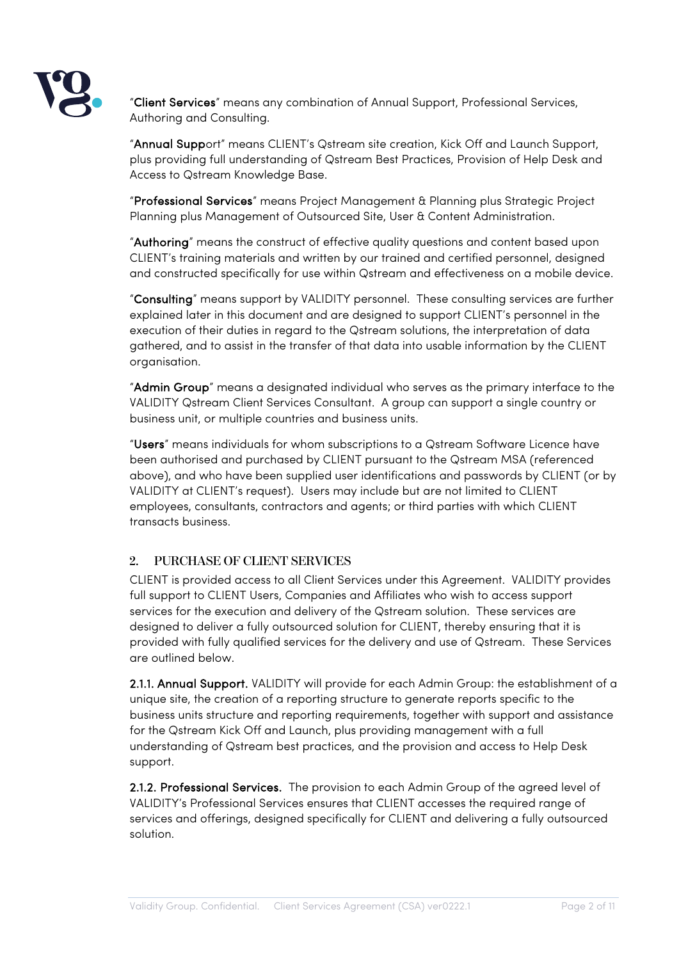

"Client Services" means any combination of Annual Support, Professional Services, Authoring and Consulting.

"Annual Support" means CLIENT's Qstream site creation, Kick Off and Launch Support, plus providing full understanding of Qstream Best Practices, Provision of Help Desk and Access to Qstream Knowledge Base.

"Professional Services" means Project Management & Planning plus Strategic Project Planning plus Management of Outsourced Site, User & Content Administration.

"Authoring" means the construct of effective quality questions and content based upon CLIENT's training materials and written by our trained and certified personnel, designed and constructed specifically for use within Qstream and effectiveness on a mobile device.

"Consulting" means support by VALIDITY personnel. These consulting services are further explained later in this document and are designed to support CLIENT's personnel in the execution of their duties in regard to the Qstream solutions, the interpretation of data gathered, and to assist in the transfer of that data into usable information by the CLIENT organisation.

"Admin Group" means a designated individual who serves as the primary interface to the VALIDITY Qstream Client Services Consultant. A group can support a single country or business unit, or multiple countries and business units.

"Users" means individuals for whom subscriptions to a Qstream Software Licence have been authorised and purchased by CLIENT pursuant to the Qstream MSA (referenced above), and who have been supplied user identifications and passwords by CLIENT (or by VALIDITY at CLIENT's request). Users may include but are not limited to CLIENT employees, consultants, contractors and agents; or third parties with which CLIENT transacts business.

# **2. PURCHASE OF CLIENT SERVICES**

CLIENT is provided access to all Client Services under this Agreement. VALIDITY provides full support to CLIENT Users, Companies and Affiliates who wish to access support services for the execution and delivery of the Qstream solution. These services are designed to deliver a fully outsourced solution for CLIENT, thereby ensuring that it is provided with fully qualified services for the delivery and use of Qstream. These Services are outlined below.

2.1.1. Annual Support. VALIDITY will provide for each Admin Group: the establishment of a unique site, the creation of a reporting structure to generate reports specific to the business units structure and reporting requirements, together with support and assistance for the Qstream Kick Off and Launch, plus providing management with a full understanding of Qstream best practices, and the provision and access to Help Desk support.

2.1.2. Professional Services. The provision to each Admin Group of the agreed level of VALIDITY's Professional Services ensures that CLIENT accesses the required range of services and offerings, designed specifically for CLIENT and delivering a fully outsourced solution.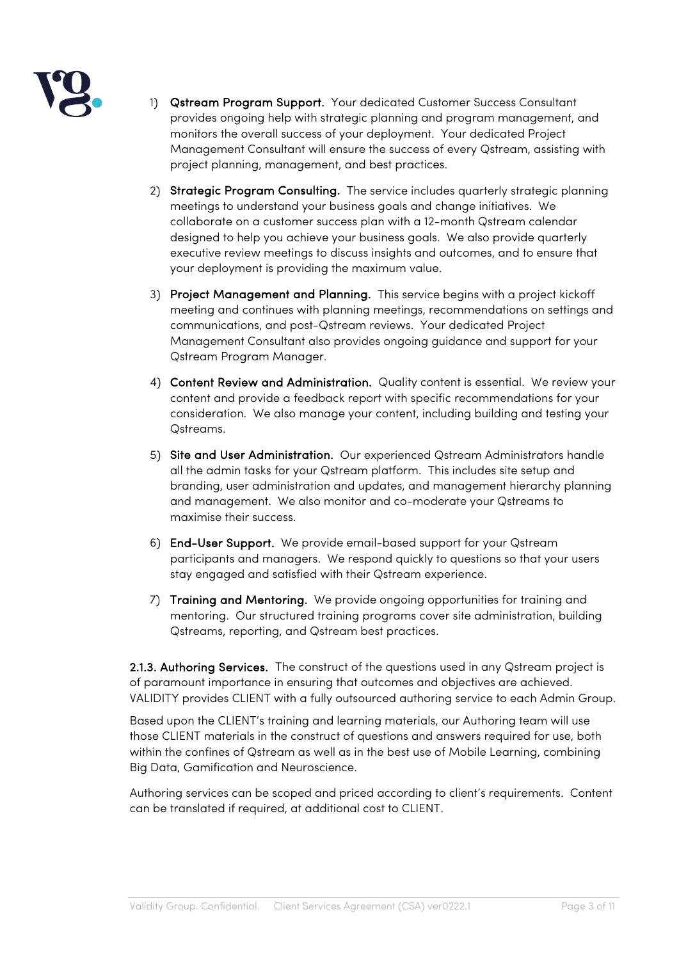

- 1) Qstream Program Support. Your dedicated Customer Success Consultant provides ongoing help with strategic planning and program management, and monitors the overall success of your deployment. Your dedicated Project Management Consultant will ensure the success of every Qstream, assisting with project planning, management, and best practices.
- 2) Strategic Program Consulting. The service includes quarterly strategic planning meetings to understand your business goals and change initiatives. We collaborate on a customer success plan with a 12-month Qstream calendar designed to help you achieve your business goals. We also provide quarterly executive review meetings to discuss insights and outcomes, and to ensure that your deployment is providing the maximum value.
- 3) Project Management and Planning. This service begins with a project kickoff meeting and continues with planning meetings, recommendations on settings and communications, and post-Qstream reviews. Your dedicated Project Management Consultant also provides ongoing guidance and support for your Qstream Program Manager.
- 4) Content Review and Administration. Quality content is essential. We review your content and provide a feedback report with specific recommendations for your consideration. We also manage your content, including building and testing your Qstreams.
- 5) Site and User Administration. Our experienced Qstream Administrators handle all the admin tasks for your Qstream platform. This includes site setup and branding, user administration and updates, and management hierarchy planning and management. We also monitor and co-moderate your Qstreams to maximise their success.
- 6) End-User Support. We provide email-based support for your Qstream participants and managers. We respond quickly to questions so that your users stay engaged and satisfied with their Qstream experience.
- 7) Training and Mentoring. We provide ongoing opportunities for training and mentoring. Our structured training programs cover site administration, building Qstreams, reporting, and Qstream best practices.

2.1.3. Authoring Services. The construct of the questions used in any Qstream project is of paramount importance in ensuring that outcomes and objectives are achieved. VALIDITY provides CLIENT with a fully outsourced authoring service to each Admin Group.

Based upon the CLIENT's training and learning materials, our Authoring team will use those CLIENT materials in the construct of questions and answers required for use, both within the confines of Qstream as well as in the best use of Mobile Learning, combining Big Data, Gamification and Neuroscience.

Authoring services can be scoped and priced according to client's requirements. Content can be translated if required, at additional cost to CLIENT.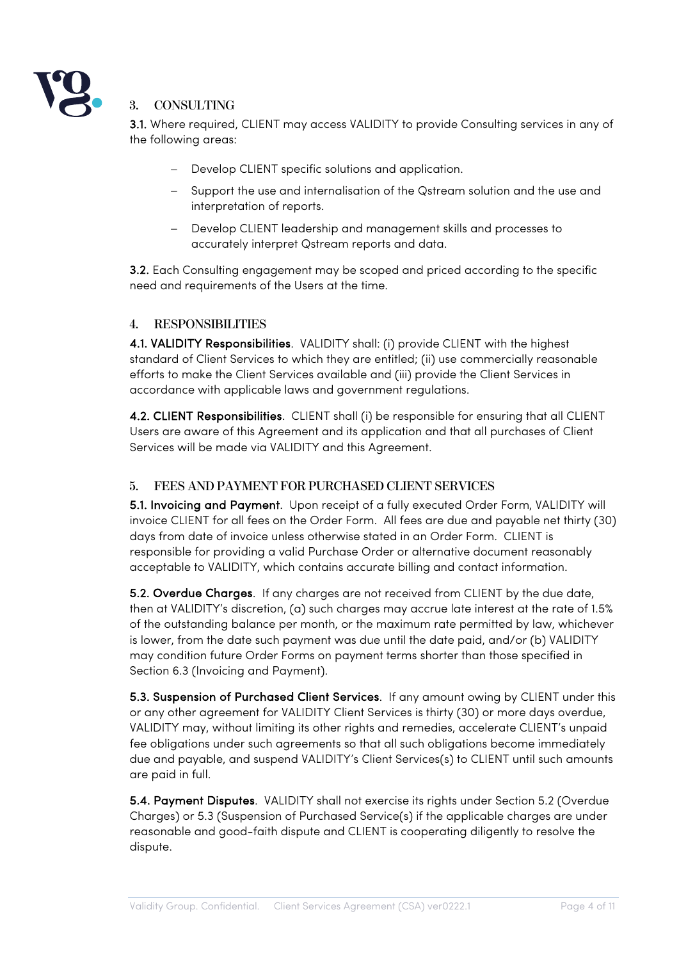

#### **3. CONSULTING**

3.1. Where required, CLIENT may access VALIDITY to provide Consulting services in any of the following areas:

- Develop CLIENT specific solutions and application.
- Support the use and internalisation of the Qstream solution and the use and interpretation of reports.
- Develop CLIENT leadership and management skills and processes to accurately interpret Qstream reports and data.

3.2. Each Consulting engagement may be scoped and priced according to the specific need and requirements of the Users at the time.

#### **4. RESPONSIBILITIES**

4.1. VALIDITY Responsibilities. VALIDITY shall: (i) provide CLIENT with the highest standard of Client Services to which they are entitled; (ii) use commercially reasonable efforts to make the Client Services available and (iii) provide the Client Services in accordance with applicable laws and government regulations.

4.2. CLIENT Responsibilities. CLIENT shall (i) be responsible for ensuring that all CLIENT Users are aware of this Agreement and its application and that all purchases of Client Services will be made via VALIDITY and this Agreement.

#### **5. FEES AND PAYMENT FOR PURCHASED CLIENT SERVICES**

5.1. Invoicing and Payment. Upon receipt of a fully executed Order Form, VALIDITY will invoice CLIENT for all fees on the Order Form. All fees are due and payable net thirty (30) days from date of invoice unless otherwise stated in an Order Form. CLIENT is responsible for providing a valid Purchase Order or alternative document reasonably acceptable to VALIDITY, which contains accurate billing and contact information.

5.2. Overdue Charges. If any charges are not received from CLIENT by the due date, then at VALIDITY's discretion, (a) such charges may accrue late interest at the rate of 1.5% of the outstanding balance per month, or the maximum rate permitted by law, whichever is lower, from the date such payment was due until the date paid, and/or (b) VALIDITY may condition future Order Forms on payment terms shorter than those specified in Section 6.3 (Invoicing and Payment).

5.3. Suspension of Purchased Client Services. If any amount owing by CLIENT under this or any other agreement for VALIDITY Client Services is thirty (30) or more days overdue, VALIDITY may, without limiting its other rights and remedies, accelerate CLIENT's unpaid fee obligations under such agreements so that all such obligations become immediately due and payable, and suspend VALIDITY's Client Services(s) to CLIENT until such amounts are paid in full.

5.4. Payment Disputes. VALIDITY shall not exercise its rights under Section 5.2 (Overdue Charges) or 5.3 (Suspension of Purchased Service(s) if the applicable charges are under reasonable and good-faith dispute and CLIENT is cooperating diligently to resolve the dispute.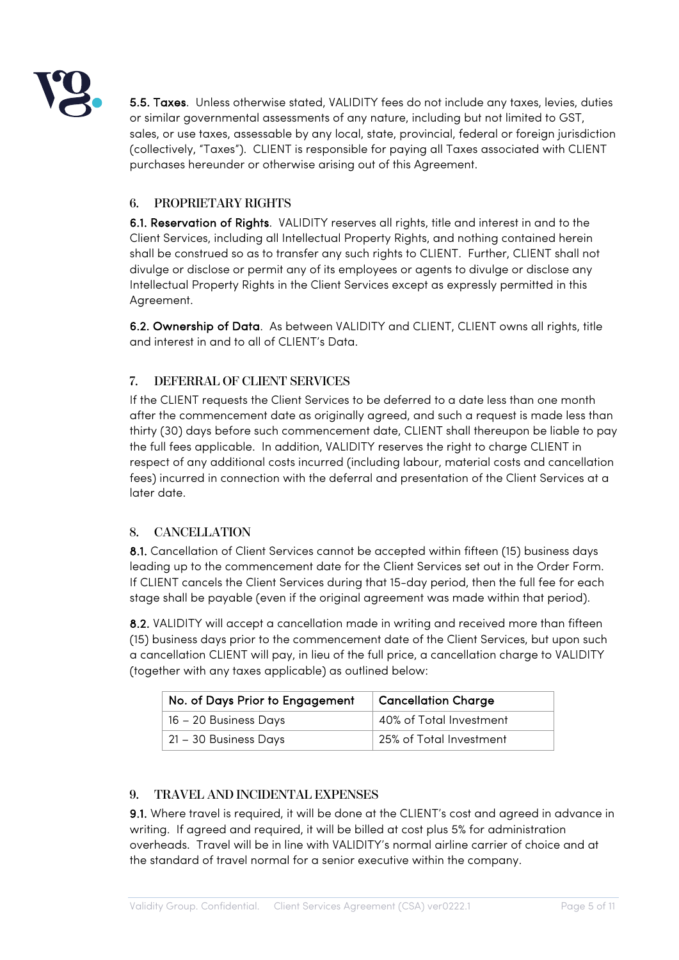

5.5. Taxes. Unless otherwise stated, VALIDITY fees do not include any taxes, levies, duties or similar governmental assessments of any nature, including but not limited to GST, sales, or use taxes, assessable by any local, state, provincial, federal or foreign jurisdiction (collectively, "Taxes"). CLIENT is responsible for paying all Taxes associated with CLIENT purchases hereunder or otherwise arising out of this Agreement.

# **6. PROPRIETARY RIGHTS**

6.1. Reservation of Rights. VALIDITY reserves all rights, title and interest in and to the Client Services, including all Intellectual Property Rights, and nothing contained herein shall be construed so as to transfer any such rights to CLIENT. Further, CLIENT shall not divulge or disclose or permit any of its employees or agents to divulge or disclose any Intellectual Property Rights in the Client Services except as expressly permitted in this Agreement.

6.2. Ownership of Data. As between VALIDITY and CLIENT, CLIENT owns all rights, title and interest in and to all of CLIENT's Data.

# **7. DEFERRAL OF CLIENT SERVICES**

If the CLIENT requests the Client Services to be deferred to a date less than one month after the commencement date as originally agreed, and such a request is made less than thirty (30) days before such commencement date, CLIENT shall thereupon be liable to pay the full fees applicable. In addition, VALIDITY reserves the right to charge CLIENT in respect of any additional costs incurred (including labour, material costs and cancellation fees) incurred in connection with the deferral and presentation of the Client Services at a later date.

# **8. CANCELLATION**

8.1. Cancellation of Client Services cannot be accepted within fifteen (15) business days leading up to the commencement date for the Client Services set out in the Order Form. If CLIENT cancels the Client Services during that 15-day period, then the full fee for each stage shall be payable (even if the original agreement was made within that period).

8.2. VALIDITY will accept a cancellation made in writing and received more than fifteen (15) business days prior to the commencement date of the Client Services, but upon such a cancellation CLIENT will pay, in lieu of the full price, a cancellation charge to VALIDITY (together with any taxes applicable) as outlined below:

| No. of Days Prior to Engagement | <b>Cancellation Charge</b> |
|---------------------------------|----------------------------|
| 16 - 20 Business Days           | 40% of Total Investment    |
| 21 - 30 Business Days           | 25% of Total Investment    |

# **9. TRAVEL AND INCIDENTAL EXPENSES**

9.1. Where travel is required, it will be done at the CLIENT's cost and agreed in advance in writing. If agreed and required, it will be billed at cost plus 5% for administration overheads. Travel will be in line with VALIDITY's normal airline carrier of choice and at the standard of travel normal for a senior executive within the company.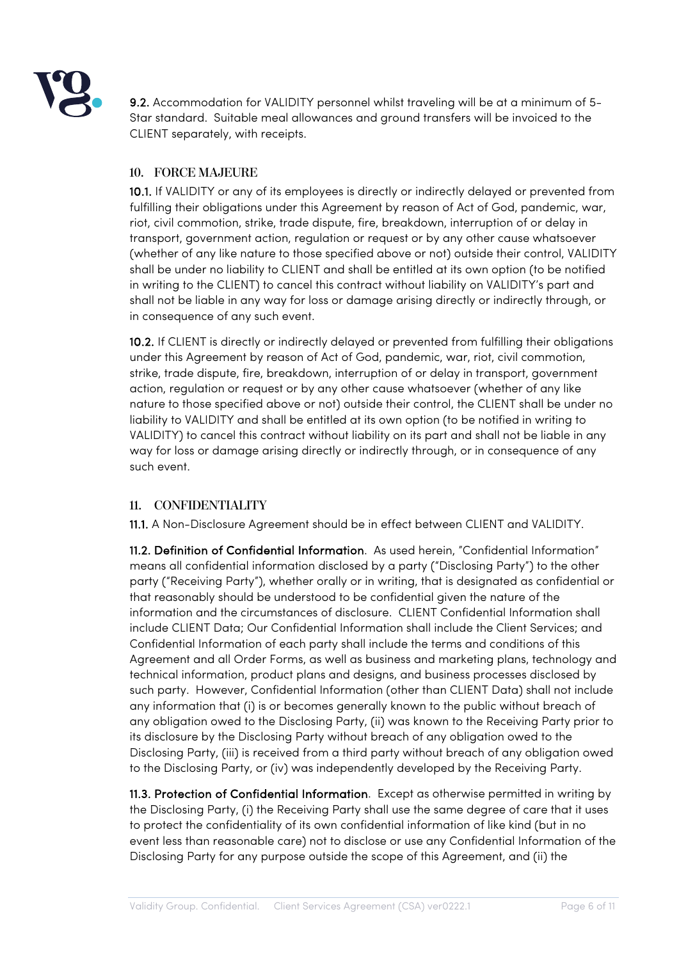

9.2. Accommodation for VALIDITY personnel whilst traveling will be at a minimum of 5- Star standard. Suitable meal allowances and ground transfers will be invoiced to the CLIENT separately, with receipts.

# **10. FORCE MAJEURE**

10.1. If VALIDITY or any of its employees is directly or indirectly delayed or prevented from fulfilling their obligations under this Agreement by reason of Act of God, pandemic, war, riot, civil commotion, strike, trade dispute, fire, breakdown, interruption of or delay in transport, government action, regulation or request or by any other cause whatsoever (whether of any like nature to those specified above or not) outside their control, VALIDITY shall be under no liability to CLIENT and shall be entitled at its own option (to be notified in writing to the CLIENT) to cancel this contract without liability on VALIDITY's part and shall not be liable in any way for loss or damage arising directly or indirectly through, or in consequence of any such event.

10.2. If CLIENT is directly or indirectly delayed or prevented from fulfilling their obligations under this Agreement by reason of Act of God, pandemic, war, riot, civil commotion, strike, trade dispute, fire, breakdown, interruption of or delay in transport, government action, regulation or request or by any other cause whatsoever (whether of any like nature to those specified above or not) outside their control, the CLIENT shall be under no liability to VALIDITY and shall be entitled at its own option (to be notified in writing to VALIDITY) to cancel this contract without liability on its part and shall not be liable in any way for loss or damage arising directly or indirectly through, or in consequence of any such event.

#### **11. CONFIDENTIALITY**

11.1. A Non-Disclosure Agreement should be in effect between CLIENT and VALIDITY.

11.2. Definition of Confidential Information. As used herein, "Confidential Information" means all confidential information disclosed by a party ("Disclosing Party") to the other party ("Receiving Party"), whether orally or in writing, that is designated as confidential or that reasonably should be understood to be confidential given the nature of the information and the circumstances of disclosure. CLIENT Confidential Information shall include CLIENT Data; Our Confidential Information shall include the Client Services; and Confidential Information of each party shall include the terms and conditions of this Agreement and all Order Forms, as well as business and marketing plans, technology and technical information, product plans and designs, and business processes disclosed by such party. However, Confidential Information (other than CLIENT Data) shall not include any information that (i) is or becomes generally known to the public without breach of any obligation owed to the Disclosing Party, (ii) was known to the Receiving Party prior to its disclosure by the Disclosing Party without breach of any obligation owed to the Disclosing Party, (iii) is received from a third party without breach of any obligation owed to the Disclosing Party, or (iv) was independently developed by the Receiving Party.

11.3. Protection of Confidential Information. Except as otherwise permitted in writing by the Disclosing Party, (i) the Receiving Party shall use the same degree of care that it uses to protect the confidentiality of its own confidential information of like kind (but in no event less than reasonable care) not to disclose or use any Confidential Information of the Disclosing Party for any purpose outside the scope of this Agreement, and (ii) the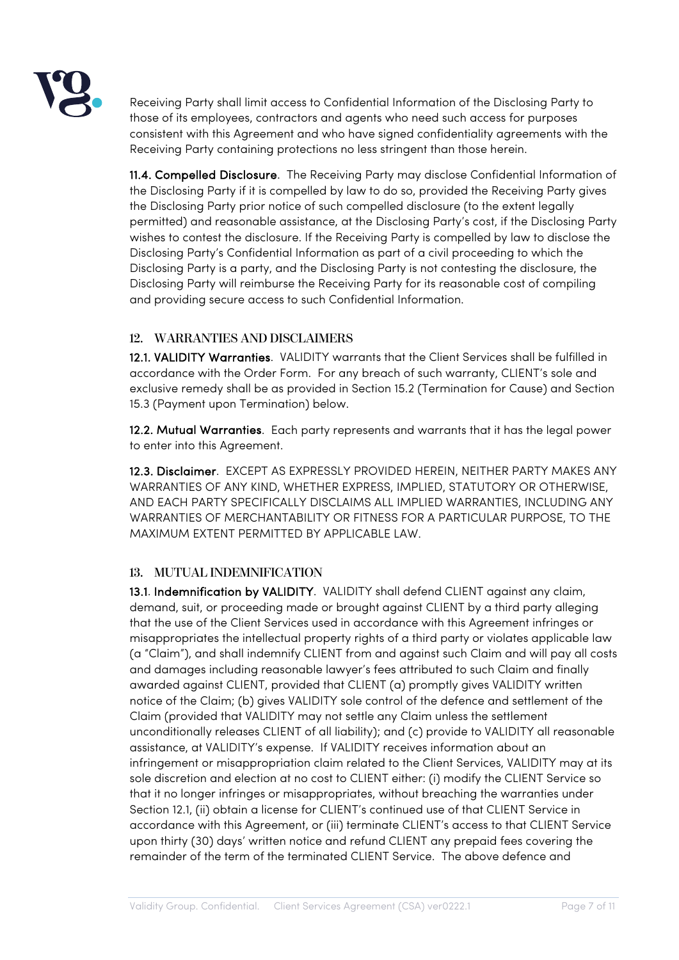

Receiving Party shall limit access to Confidential Information of the Disclosing Party to those of its employees, contractors and agents who need such access for purposes consistent with this Agreement and who have signed confidentiality agreements with the Receiving Party containing protections no less stringent than those herein.

11.4. Compelled Disclosure. The Receiving Party may disclose Confidential Information of the Disclosing Party if it is compelled by law to do so, provided the Receiving Party gives the Disclosing Party prior notice of such compelled disclosure (to the extent legally permitted) and reasonable assistance, at the Disclosing Party's cost, if the Disclosing Party wishes to contest the disclosure. If the Receiving Party is compelled by law to disclose the Disclosing Party's Confidential Information as part of a civil proceeding to which the Disclosing Party is a party, and the Disclosing Party is not contesting the disclosure, the Disclosing Party will reimburse the Receiving Party for its reasonable cost of compiling and providing secure access to such Confidential Information.

# **12. WARRANTIES AND DISCLAIMERS**

12.1. VALIDITY Warranties. VALIDITY warrants that the Client Services shall be fulfilled in accordance with the Order Form. For any breach of such warranty, CLIENT's sole and exclusive remedy shall be as provided in Section 15.2 (Termination for Cause) and Section 15.3 (Payment upon Termination) below.

12.2. Mutual Warranties. Each party represents and warrants that it has the legal power to enter into this Agreement.

12.3. Disclaimer. EXCEPT AS EXPRESSLY PROVIDED HEREIN, NEITHER PARTY MAKES ANY WARRANTIES OF ANY KIND, WHETHER EXPRESS, IMPLIED, STATUTORY OR OTHERWISE, AND EACH PARTY SPECIFICALLY DISCLAIMS ALL IMPLIED WARRANTIES, INCLUDING ANY WARRANTIES OF MERCHANTABILITY OR FITNESS FOR A PARTICULAR PURPOSE, TO THE MAXIMUM EXTENT PERMITTED BY APPLICABLE LAW.

# **13. MUTUAL INDEMNIFICATION**

13.1. Indemnification by VALIDITY. VALIDITY shall defend CLIENT against any claim, demand, suit, or proceeding made or brought against CLIENT by a third party alleging that the use of the Client Services used in accordance with this Agreement infringes or misappropriates the intellectual property rights of a third party or violates applicable law (a "Claim"), and shall indemnify CLIENT from and against such Claim and will pay all costs and damages including reasonable lawyer's fees attributed to such Claim and finally awarded against CLIENT, provided that CLIENT (a) promptly gives VALIDITY written notice of the Claim; (b) gives VALIDITY sole control of the defence and settlement of the Claim (provided that VALIDITY may not settle any Claim unless the settlement unconditionally releases CLIENT of all liability); and (c) provide to VALIDITY all reasonable assistance, at VALIDITY's expense. If VALIDITY receives information about an infringement or misappropriation claim related to the Client Services, VALIDITY may at its sole discretion and election at no cost to CLIENT either: (i) modify the CLIENT Service so that it no longer infringes or misappropriates, without breaching the warranties under Section 12.1, (ii) obtain a license for CLIENT's continued use of that CLIENT Service in accordance with this Agreement, or (iii) terminate CLIENT's access to that CLIENT Service upon thirty (30) days' written notice and refund CLIENT any prepaid fees covering the remainder of the term of the terminated CLIENT Service. The above defence and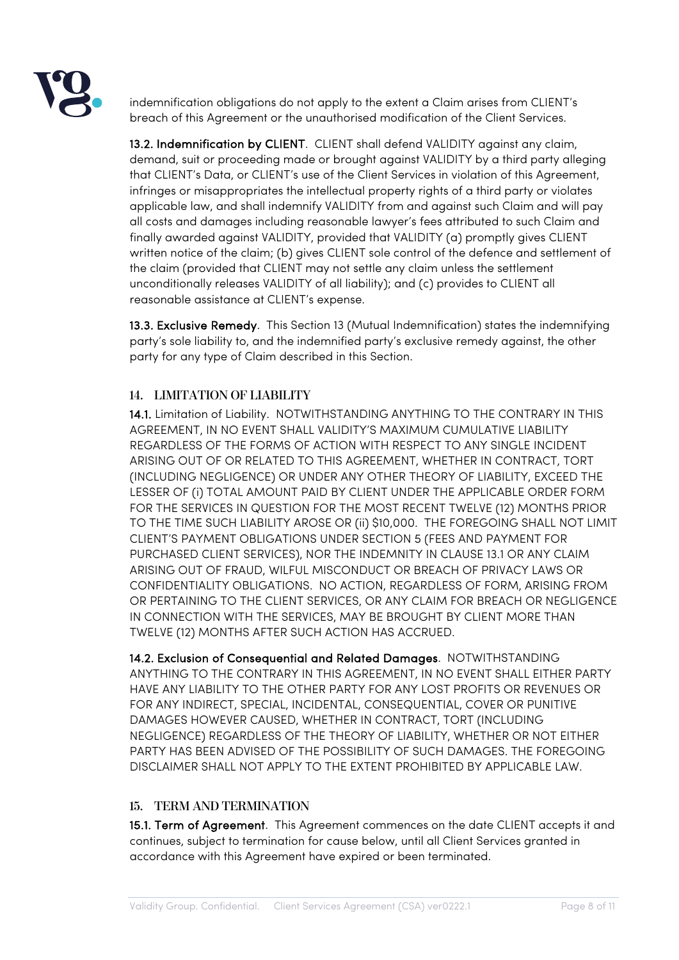

indemnification obligations do not apply to the extent a Claim arises from CLIENT's breach of this Agreement or the unauthorised modification of the Client Services.

13.2. Indemnification by CLIENT. CLIENT shall defend VALIDITY against any claim, demand, suit or proceeding made or brought against VALIDITY by a third party alleging that CLIENT's Data, or CLIENT's use of the Client Services in violation of this Agreement, infringes or misappropriates the intellectual property rights of a third party or violates applicable law, and shall indemnify VALIDITY from and against such Claim and will pay all costs and damages including reasonable lawyer's fees attributed to such Claim and finally awarded against VALIDITY, provided that VALIDITY (a) promptly gives CLIENT written notice of the claim; (b) gives CLIENT sole control of the defence and settlement of the claim (provided that CLIENT may not settle any claim unless the settlement unconditionally releases VALIDITY of all liability); and (c) provides to CLIENT all reasonable assistance at CLIENT's expense.

13.3. Exclusive Remedy. This Section 13 (Mutual Indemnification) states the indemnifying party's sole liability to, and the indemnified party's exclusive remedy against, the other party for any type of Claim described in this Section.

# **14. LIMITATION OF LIABILITY**

14.1. Limitation of Liability. NOTWITHSTANDING ANYTHING TO THE CONTRARY IN THIS AGREEMENT, IN NO EVENT SHALL VALIDITY'S MAXIMUM CUMULATIVE LIABILITY REGARDLESS OF THE FORMS OF ACTION WITH RESPECT TO ANY SINGLE INCIDENT ARISING OUT OF OR RELATED TO THIS AGREEMENT, WHETHER IN CONTRACT, TORT (INCLUDING NEGLIGENCE) OR UNDER ANY OTHER THEORY OF LIABILITY, EXCEED THE LESSER OF (i) TOTAL AMOUNT PAID BY CLIENT UNDER THE APPLICABLE ORDER FORM FOR THE SERVICES IN QUESTION FOR THE MOST RECENT TWELVE (12) MONTHS PRIOR TO THE TIME SUCH LIABILITY AROSE OR (ii) \$10,000. THE FOREGOING SHALL NOT LIMIT CLIENT'S PAYMENT OBLIGATIONS UNDER SECTION 5 (FEES AND PAYMENT FOR PURCHASED CLIENT SERVICES), NOR THE INDEMNITY IN CLAUSE 13.1 OR ANY CLAIM ARISING OUT OF FRAUD, WILFUL MISCONDUCT OR BREACH OF PRIVACY LAWS OR CONFIDENTIALITY OBLIGATIONS. NO ACTION, REGARDLESS OF FORM, ARISING FROM OR PERTAINING TO THE CLIENT SERVICES, OR ANY CLAIM FOR BREACH OR NEGLIGENCE IN CONNECTION WITH THE SERVICES, MAY BE BROUGHT BY CLIENT MORE THAN TWELVE (12) MONTHS AFTER SUCH ACTION HAS ACCRUED.

14.2. Exclusion of Consequential and Related Damages. NOTWITHSTANDING ANYTHING TO THE CONTRARY IN THIS AGREEMENT, IN NO EVENT SHALL EITHER PARTY HAVE ANY LIABILITY TO THE OTHER PARTY FOR ANY LOST PROFITS OR REVENUES OR FOR ANY INDIRECT, SPECIAL, INCIDENTAL, CONSEQUENTIAL, COVER OR PUNITIVE DAMAGES HOWEVER CAUSED, WHETHER IN CONTRACT, TORT (INCLUDING NEGLIGENCE) REGARDLESS OF THE THEORY OF LIABILITY, WHETHER OR NOT EITHER PARTY HAS BEEN ADVISED OF THE POSSIBILITY OF SUCH DAMAGES. THE FOREGOING DISCLAIMER SHALL NOT APPLY TO THE EXTENT PROHIBITED BY APPLICABLE LAW.

# **15. TERM AND TERMINATION**

15.1. Term of Agreement. This Agreement commences on the date CLIENT accepts it and continues, subject to termination for cause below, until all Client Services granted in accordance with this Agreement have expired or been terminated.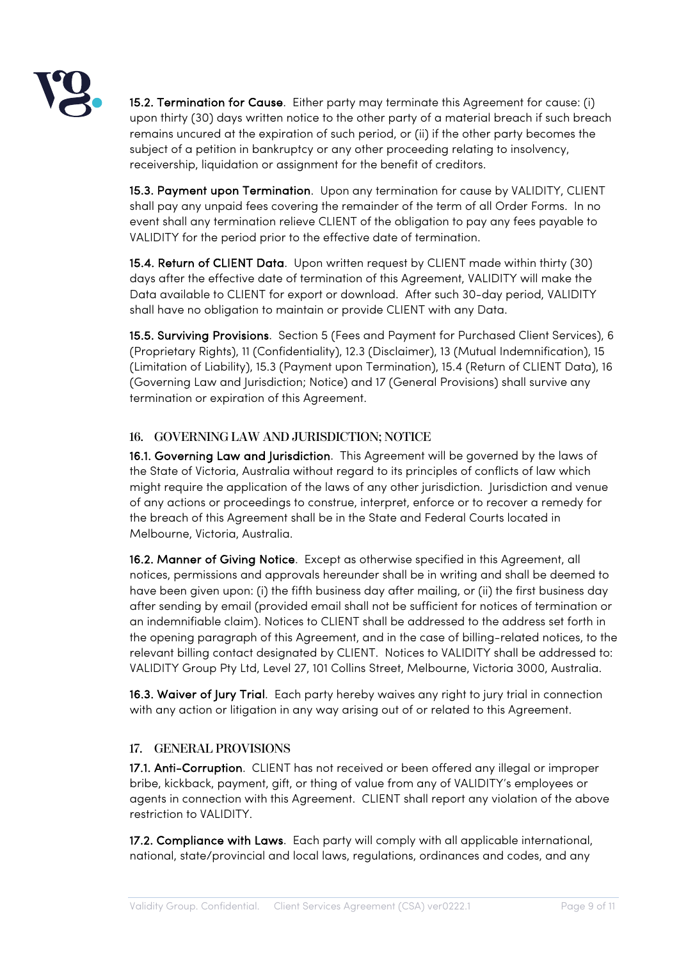

15.2. Termination for Cause. Either party may terminate this Agreement for cause: (i) upon thirty (30) days written notice to the other party of a material breach if such breach remains uncured at the expiration of such period, or (ii) if the other party becomes the subject of a petition in bankruptcy or any other proceeding relating to insolvency, receivership, liquidation or assignment for the benefit of creditors.

15.3. Payment upon Termination. Upon any termination for cause by VALIDITY, CLIENT shall pay any unpaid fees covering the remainder of the term of all Order Forms. In no event shall any termination relieve CLIENT of the obligation to pay any fees payable to VALIDITY for the period prior to the effective date of termination.

15.4. Return of CLIENT Data. Upon written request by CLIENT made within thirty (30) days after the effective date of termination of this Agreement, VALIDITY will make the Data available to CLIENT for export or download. After such 30-day period, VALIDITY shall have no obligation to maintain or provide CLIENT with any Data.

15.5. Surviving Provisions. Section 5 (Fees and Payment for Purchased Client Services), 6 (Proprietary Rights), 11 (Confidentiality), 12.3 (Disclaimer), 13 (Mutual Indemnification), 15 (Limitation of Liability), 15.3 (Payment upon Termination), 15.4 (Return of CLIENT Data), 16 (Governing Law and Jurisdiction; Notice) and 17 (General Provisions) shall survive any termination or expiration of this Agreement.

#### **16. GOVERNING LAW AND JURISDICTION; NOTICE**

16.1. Governing Law and Jurisdiction. This Agreement will be governed by the laws of the State of Victoria, Australia without regard to its principles of conflicts of law which might require the application of the laws of any other jurisdiction. Jurisdiction and venue of any actions or proceedings to construe, interpret, enforce or to recover a remedy for the breach of this Agreement shall be in the State and Federal Courts located in Melbourne, Victoria, Australia.

16.2. Manner of Giving Notice. Except as otherwise specified in this Agreement, all notices, permissions and approvals hereunder shall be in writing and shall be deemed to have been given upon: (i) the fifth business day after mailing, or (ii) the first business day after sending by email (provided email shall not be sufficient for notices of termination or an indemnifiable claim). Notices to CLIENT shall be addressed to the address set forth in the opening paragraph of this Agreement, and in the case of billing-related notices, to the relevant billing contact designated by CLIENT. Notices to VALIDITY shall be addressed to: VALIDITY Group Pty Ltd, Level 27, 101 Collins Street, Melbourne, Victoria 3000, Australia.

16.3. Waiver of Jury Trial. Each party hereby waives any right to jury trial in connection with any action or litigation in any way arising out of or related to this Agreement.

#### **17. GENERAL PROVISIONS**

17.1. Anti-Corruption. CLIENT has not received or been offered any illegal or improper bribe, kickback, payment, gift, or thing of value from any of VALIDITY's employees or agents in connection with this Agreement. CLIENT shall report any violation of the above restriction to VALIDITY.

17.2. Compliance with Laws. Each party will comply with all applicable international, national, state/provincial and local laws, regulations, ordinances and codes, and any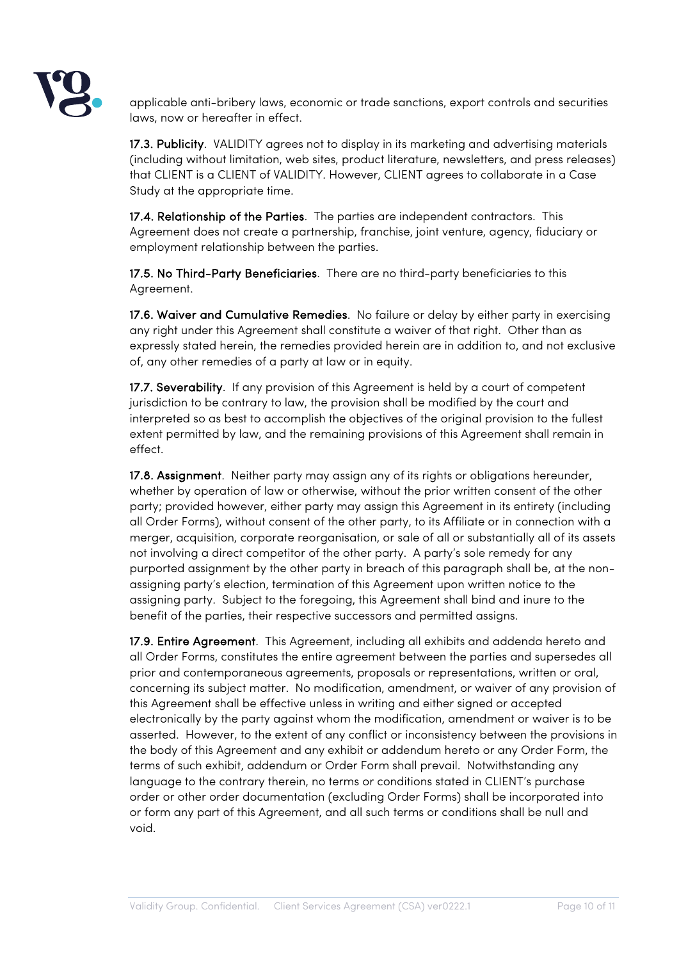

applicable anti-bribery laws, economic or trade sanctions, export controls and securities laws, now or hereafter in effect.

17.3. Publicity. VALIDITY agrees not to display in its marketing and advertising materials (including without limitation, web sites, product literature, newsletters, and press releases) that CLIENT is a CLIENT of VALIDITY. However, CLIENT agrees to collaborate in a Case Study at the appropriate time.

17.4. Relationship of the Parties. The parties are independent contractors. This Agreement does not create a partnership, franchise, joint venture, agency, fiduciary or employment relationship between the parties.

17.5. No Third-Party Beneficiaries. There are no third-party beneficiaries to this Agreement.

17.6. Waiver and Cumulative Remedies. No failure or delay by either party in exercising any right under this Agreement shall constitute a waiver of that right. Other than as expressly stated herein, the remedies provided herein are in addition to, and not exclusive of, any other remedies of a party at law or in equity.

17.7. Severability. If any provision of this Agreement is held by a court of competent jurisdiction to be contrary to law, the provision shall be modified by the court and interpreted so as best to accomplish the objectives of the original provision to the fullest extent permitted by law, and the remaining provisions of this Agreement shall remain in effect.

17.8. Assignment. Neither party may assign any of its rights or obligations hereunder, whether by operation of law or otherwise, without the prior written consent of the other party; provided however, either party may assign this Agreement in its entirety (including all Order Forms), without consent of the other party, to its Affiliate or in connection with a merger, acquisition, corporate reorganisation, or sale of all or substantially all of its assets not involving a direct competitor of the other party. A party's sole remedy for any purported assignment by the other party in breach of this paragraph shall be, at the nonassigning party's election, termination of this Agreement upon written notice to the assigning party. Subject to the foregoing, this Agreement shall bind and inure to the benefit of the parties, their respective successors and permitted assigns.

17.9. Entire Agreement. This Agreement, including all exhibits and addenda hereto and all Order Forms, constitutes the entire agreement between the parties and supersedes all prior and contemporaneous agreements, proposals or representations, written or oral, concerning its subject matter. No modification, amendment, or waiver of any provision of this Agreement shall be effective unless in writing and either signed or accepted electronically by the party against whom the modification, amendment or waiver is to be asserted. However, to the extent of any conflict or inconsistency between the provisions in the body of this Agreement and any exhibit or addendum hereto or any Order Form, the terms of such exhibit, addendum or Order Form shall prevail. Notwithstanding any language to the contrary therein, no terms or conditions stated in CLIENT's purchase order or other order documentation (excluding Order Forms) shall be incorporated into or form any part of this Agreement, and all such terms or conditions shall be null and void.